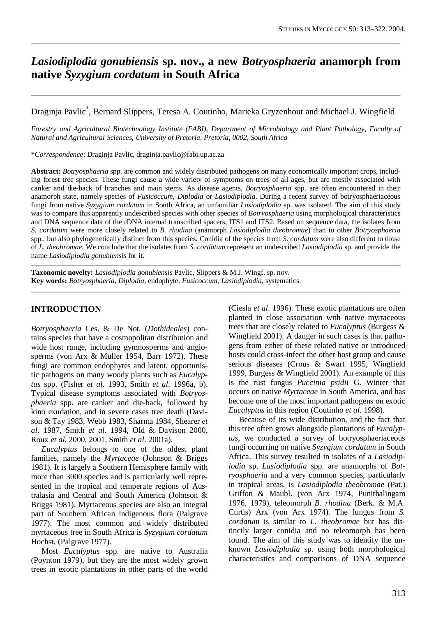# *Lasiodiplodia gonubiensis* **sp. nov., a new** *Botryosphaeria* **anamorph from native** *Syzygium cordatum* **in South Africa**

Draginja Pavlic\* , Bernard Slippers, Teresa A. Coutinho, Marieka Gryzenhout and Michael J. Wingfield

*Forestry and Agricultural Biotechnology Institute (FABI), Department of Microbiology and Plant Pathology, Faculty of Natural and Agricultural Sciences, University of Pretoria, Pretoria, 0002, South Africa*

\**Correspondence*: Draginja Pavlic, [draginja.pavlic@fabi.up.ac.za](mailto:draginja.pavlic@fabi.up.ac.za)

**Abstract:** *Botryosphaeria* spp. are common and widely distributed pathogens on many economically important crops, including forest tree species. These fungi cause a wide variety of symptoms on trees of all ages, but are mostly associated with canker and die-back of branches and main stems. As disease agents, *Botryosphaeria* spp. are often encountered in their anamorph state, namely species of *Fusicoccum, Diplodia* or *Lasiodiplodia*. During a recent survey of botryosphaeriaceous fungi from native *Syzygium cordatum* in South Africa, an unfamiliar *Lasiodiplodia* sp. was isolated. The aim of this study was to compare this apparently undescribed species with other species of *Botryosphaeria* using morphological characteristics and DNA sequence data of the rDNA internal transcribed spacers, ITS1 and ITS2. Based on sequence data, the isolates from *S. cordatum* were more closely related to *B. rhodina* (anamorph *Lasiodiplodia theobromae*) than to other *Botryosphaeria* spp., but also phylogenetically distinct from this species. Conidia of the species from *S. cordatum* were also different to those of *L. theobromae*. We conclude that the isolates from *S. cordatum* represent an undescribed *Lasiodiplodia* sp. and provide the name *Lasiodiplodia gonubiensis* for it.

**Taxonomic novelty:** *Lasiodiplodia gonubiensis* Pavlic, Slippers & M.J. Wingf. sp. nov. **Key words:** *Botryosphaeria*, *Diplodia*, endophyte, *Fusicoccum*, *Lasiodiplodia*, systematics.

#### **INTRODUCTION**

*Botryosphaeria* Ces. & De Not. (*Dothideales*) contains species that have a cosmopolitan distribution and wide host range, including gymnosperms and angiosperms (von Arx & Müller 1954, Barr 1972). These fungi are common endophytes and latent, opportunistic pathogens on many woody plants such as *Eucalyptus* spp. (Fisher *et al*. 1993, Smith *et al*. 1996a, b). Typical disease symptoms associated with *Botryosphaeria* spp. are canker and die-back, followed by kino exudation, and in severe cases tree death (Davison & Tay 1983, Webb 1983, Sharma 1984, Shearer *et al*. 1987, Smith *et al*. 1994, Old & Davison 2000, Roux *et al*. 2000, 2001, Smith *et al*. 2001a).

 *Eucalyptus* belongs to one of the oldest plant families, namely the *Myrtaceae* (Johnson & Briggs 1981). It is largely a Southern Hemisphere family with more than 3000 species and is particularly well represented in the tropical and temperate regions of Australasia and Central and South America (Johnson & Briggs 1981). Myrtaceous species are also an integral part of Southern African indigenous flora (Palgrave 1977). The most common and widely distributed myrtaceous tree in South Africa is *Syzygium cordatum* Hochst*.* (Palgrave 1977).

 Most *Eucalyptus* spp. are native to Australia (Poynton 1979), but they are the most widely grown trees in exotic plantations in other parts of the world (Ciesla *et al*. 1996). These exotic plantations are often planted in close association with native myrtaceous trees that are closely related to *Eucalyptus* (Burgess & Wingfield 2001). A danger in such cases is that pathogens from either of these related native or introduced hosts could cross-infect the other host group and cause serious diseases (Crous & Swart 1995, Wingfield 1999, Burgess & Wingfield 2001). An example of this is the rust fungus *Puccinia psidii* G. Winter that occurs on native *Myrtaceae* in South America, and has become one of the most important pathogens on exotic *Eucalyptus* in this region (Coutinho *et al*. 1998).

 Because of its wide distribution, and the fact that this tree often grows alongside plantations of *Eucalyptus*, we conducted a survey of botryosphaeriaceous fungi occurring on native *Syzygium cordatum* in South Africa. This survey resulted in isolates of a *Lasiodiplodia* sp. *Lasiodiplodia* spp. are anamorphs of *Botryosphaeria* and a very common species, particularly in tropical areas, is *Lasiodiplodia theobromae* (Pat.) Griffon & Maubl. (von Arx 1974, Punithalingam 1976, 1979), teleomorph *B. rhodina* (Berk. & M.A. Curtis) Arx (von Arx 1974). The fungus from *S. cordatum* is similar to *L. theobromae* but has distinctly larger conidia and no teleomorph has been found. The aim of this study was to identify the unknown *Lasiodiplodia* sp. using both morphological characteristics and comparisons of DNA sequence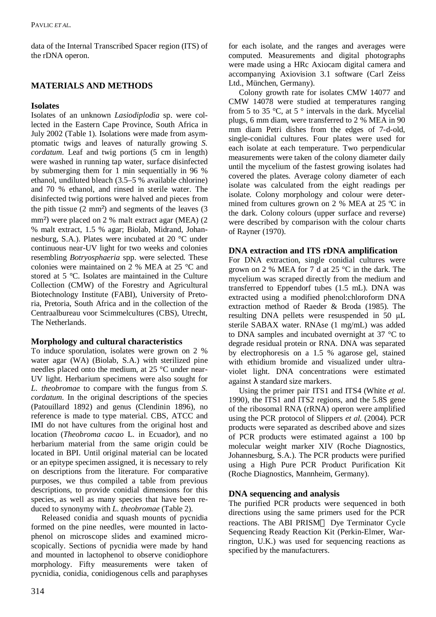data of the Internal Transcribed Spacer region (ITS) of the rDNA operon.

# **MATERIALS AND METHODS**

# **Isolates**

Isolates of an unknown *Lasiodiplodia* sp. were collected in the Eastern Cape Province, South Africa in July 2002 (Table 1). Isolations were made from asymptomatic twigs and leaves of naturally growing *S. cordatum*. Leaf and twig portions (5 cm in length) were washed in running tap water, surface disinfected by submerging them for 1 min sequentially in 96 % ethanol, undiluted bleach (3.5–5 % available chlorine) and 70 % ethanol, and rinsed in sterile water. The disinfected twig portions were halved and pieces from the pith tissue  $(2 \text{ mm}^2)$  and segments of the leaves  $(3 \text{ mm}^2)$ mm²) were placed on 2 % malt extract agar (MEA) (2 % malt extract, 1.5 % agar; Biolab, Midrand, Johannesburg, S.A.). Plates were incubated at 20 °C under continuous near-UV light for two weeks and colonies resembling *Botryosphaeria* spp. were selected. These colonies were maintained on 2 % MEA at 25 °C and stored at 5 °C. Isolates are maintained in the Culture Collection (CMW) of the Forestry and Agricultural Biotechnology Institute (FABI), University of Pretoria, Pretoria, South Africa and in the collection of the Centraalbureau voor Scimmelcultures (CBS), Utrecht, The Netherlands.

# **Morphology and cultural characteristics**

To induce sporulation, isolates were grown on 2 % water agar (WA) (Biolab, S.A.) with sterilized pine needles placed onto the medium, at 25 °C under near-UV light. Herbarium specimens were also sought for *L. theobromae* to compare with the fungus from *S. cordatum*. In the original descriptions of the species (Patouillard 1892) and genus (Clendinin 1896), no reference is made to type material. CBS, ATCC and IMI do not have cultures from the original host and location (*Theobroma cacao* L. in Ecuador), and no herbarium material from the same origin could be located in BPI. Until original material can be located or an epitype specimen assigned, it is necessary to rely on descriptions from the literature. For comparative purposes, we thus compiled a table from previous descriptions, to provide conidial dimensions for this species, as well as many species that have been reduced to synonymy with *L. theobromae* (Table 2).

 Released conidia and squash mounts of pycnidia formed on the pine needles, were mounted in lactophenol on microscope slides and examined microscopically. Sections of pycnidia were made by hand and mounted in lactophenol to observe conidiophore morphology. Fifty measurements were taken of pycnidia, conidia, conidiogenous cells and paraphyses

for each isolate, and the ranges and averages were computed. Measurements and digital photographs were made using a HRc Axiocam digital camera and accompanying Axiovision 3.1 software (Carl Zeiss Ltd., München, Germany).

 Colony growth rate for isolates CMW 14077 and CMW 14078 were studied at temperatures ranging from 5 to 35 °C, at 5 ° intervals in the dark. Mycelial plugs, 6 mm diam, were transferred to 2 % MEA in 90 mm diam Petri dishes from the edges of 7-d-old, single-conidial cultures. Four plates were used for each isolate at each temperature. Two perpendicular measurements were taken of the colony diameter daily until the mycelium of the fastest growing isolates had covered the plates. Average colony diameter of each isolate was calculated from the eight readings per isolate. Colony morphology and colour were determined from cultures grown on 2 % MEA at 25 ºC in the dark. Colony colours (upper surface and reverse) were described by comparison with the colour charts of Rayner (1970).

### **DNA extraction and ITS rDNA amplification**

For DNA extraction, single conidial cultures were grown on 2 % MEA for 7 d at 25 °C in the dark. The mycelium was scraped directly from the medium and transferred to Eppendorf tubes (1.5 mL). DNA was extracted using a modified phenol:chloroform DNA extraction method of Raeder & Broda (1985). The resulting DNA pellets were resuspended in 50 µL sterile SABAX water. RNAse (1 mg/mL) was added to DNA samples and incubated overnight at 37 °C to degrade residual protein or RNA. DNA was separated by electrophoresis on a 1.5 % agarose gel, stained with ethidium bromide and visualized under ultraviolet light. DNA concentrations were estimated against  $\lambda$  standard size markers.

 Using the primer pair ITS1 and ITS4 (White *et al*. 1990), the ITS1 and ITS2 regions, and the 5.8S gene of the ribosomal RNA (rRNA) operon were amplified using the PCR protocol of Slippers *et al*. (2004). PCR products were separated as described above and sizes of PCR products were estimated against a 100 bp molecular weight marker XIV (Roche Diagnostics, Johannesburg, S.A.). The PCR products were purified using a High Pure PCR Product Purification Kit (Roche Diagnostics, Mannheim, Germany).

### **DNA sequencing and analysis**

The purified PCR products were sequenced in both directions using the same primers used for the PCR reactions. The ABI PRISM™ Dye Terminator Cycle Sequencing Ready Reaction Kit (Perkin-Elmer, Warrington, U.K.) was used for sequencing reactions as specified by the manufacturers.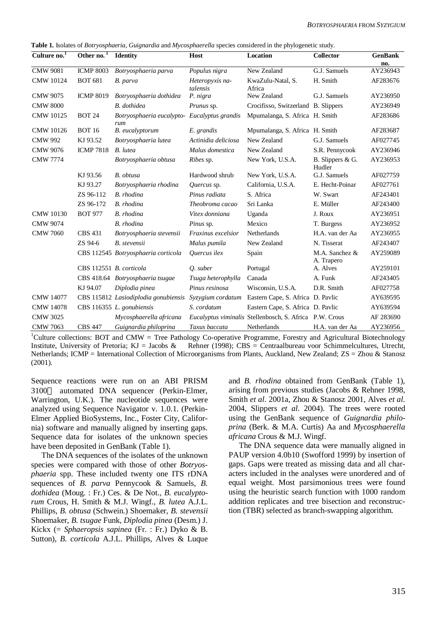**Table 1.** Isolates of *Botryosphaeria*, *Guignardia* and *Mycosphaerella* species considered in the phylogenetic study.

| Culture $no.1$   | Other no. <sup>1</sup>  | <b>Identity</b>                                     | Host                        | Location                                                | <b>Collector</b>             | <b>GenBank</b><br>no. |
|------------------|-------------------------|-----------------------------------------------------|-----------------------------|---------------------------------------------------------|------------------------------|-----------------------|
| <b>CMW</b> 9081  | <b>ICMP 8003</b>        | Botryosphaeria parva                                | Populus nigra               | New Zealand                                             | G.J. Samuels                 | AY236943              |
| <b>CMW 10124</b> | <b>BOT 681</b>          | B. parva                                            | Heteropyxis na-<br>talensis | KwaZulu-Natal, S.<br>Africa                             | H. Smith                     | AF283676              |
| <b>CMW 9075</b>  | <b>ICMP 8019</b>        | Botryosphaeria dothidea                             | P. nigra                    | New Zealand                                             | G.J. Samuels                 | AY236950              |
| <b>CMW 8000</b>  |                         | <b>B.</b> dothidea                                  | Prunus sp.                  | Crocifisso, Switzerland B. Slippers                     |                              | AY236949              |
| <b>CMW 10125</b> | <b>BOT 24</b>           | Botryosphaeria eucalypto- Eucalyptus grandis<br>rum |                             | Mpumalanga, S. Africa H. Smith                          |                              | AF283686              |
| <b>CMW 10126</b> | <b>BOT 16</b>           | B. eucalyptorum                                     | E. grandis                  | Mpumalanga, S. Africa H. Smith                          |                              | AF283687              |
| <b>CMW 992</b>   | KJ 93.52                | Botryosphaeria lutea                                | Actinidia deliciosa         | New Zealand                                             | G.J. Samuels                 | AF027745              |
| <b>CMW 9076</b>  | <b>ICMP 7818</b>        | <b>B.</b> lutea                                     | Malus domestica             | New Zealand                                             | S.R. Pennycook               | AY236946              |
| <b>CMW 7774</b>  |                         | Botryosphaeria obtusa                               | <i>Ribes</i> sp.            | New York, U.S.A.                                        | B. Slippers & G.<br>Hudler   | AY236953              |
|                  | KJ 93.56                | B. obtusa                                           | Hardwood shrub              | New York, U.S.A.                                        | G.J. Samuels                 | AF027759              |
|                  | KJ 93.27                | Botryosphaeria rhodina                              | Quercus sp.                 | California, U.S.A.                                      | E. Hecht-Poinar              | AF027761              |
|                  | ZS 96-112               | B. rhodina                                          | Pinus radiata               | S. Africa                                               | W. Swart                     | AF243401              |
|                  | ZS 96-172               | B. rhodina                                          | Theobroma cacao             | Sri Lanka                                               | E. Müller                    | AF243400              |
| <b>CMW</b> 10130 | <b>BOT 977</b>          | B. rhodina                                          | Vitex donniana              | Uganda                                                  | J. Roux                      | AY236951              |
| <b>CMW 9074</b>  |                         | B. rhodina                                          | Pinus sp.                   | Mexico                                                  | T. Burgess                   | AY236952              |
| <b>CMW 7060</b>  | <b>CBS 431</b>          | Botryosphaeria stevensii                            | Fraxinus excelsior          | Netherlands                                             | H.A. van der Aa              | AY236955              |
|                  | ZS 94-6                 | <b>B.</b> stevensii                                 | Malus pumila                | New Zealand                                             | N. Tisserat                  | AF243407              |
|                  |                         | CBS 112545 Botryosphaeria corticola                 | Ouercus ilex                | Spain                                                   | M.A. Sanchez &<br>A. Trapero | AY259089              |
|                  | CBS 112551 B. corticola |                                                     | Q. suber                    | Portugal                                                | A. Alves                     | AY259101              |
|                  |                         | CBS 418.64 Botryosphaeria tsugae                    | Tsuga heterophylla          | Canada                                                  | A. Funk                      | AF243405              |
|                  | KJ 94.07                | Diplodia pinea                                      | Pinus resinosa              | Wisconsin, U.S.A.                                       | D.R. Smith                   | AF027758              |
| <b>CMW 14077</b> |                         | CBS 115812 Lasiodiplodia gonubiensis                |                             | Syzygium cordatum Eastern Cape, S. Africa D. Pavlic     |                              | AY639595              |
| <b>CMW 14078</b> |                         | CBS 116355 L. gonubiensis                           | S. cordatum                 | Eastern Cape, S. Africa D. Pavlic                       |                              | AY639594              |
| <b>CMW 3025</b>  |                         | Mycosphaerella africana                             |                             | Eucalyptus viminalis Stellenbosch, S. Africa P.W. Crous |                              | AF 283690             |
| <b>CMW 7063</b>  | <b>CBS 447</b>          | Guignardia philoprina                               | Taxus baccata               | Netherlands                                             | H.A. van der Aa              | AY236956              |

<sup>1</sup>Culture collections: BOT and CMW = Tree Pathology Co-operative Programme, Forestry and Agricultural Biotechnology Institute, University of Pretoria; KJ = Jacobs & Rehner (1998); CBS = Centraalbureau voor Schimmelcultures, Utrecht, Netherlands; ICMP = International Collection of Microorganisms from Plants, Auckland, New Zealand; ZS = Zhou & Stanosz (2001).

Sequence reactions were run on an ABI PRISM 3100<sup>TM</sup> automated DNA sequencer (Perkin-Elmer, Warrington, U.K.). The nucleotide sequences were analyzed using Sequence Navigator v. 1.0.1. (Perkin-Elmer Applied BioSystems, Inc., Foster City, California) software and manually aligned by inserting gaps. Sequence data for isolates of the unknown species have been deposited in GenBank (Table 1).

 The DNA sequences of the isolates of the unknown species were compared with those of other *Botryosphaeria* spp. These included twenty one ITS rDNA sequences of *B. parva* Pennycook & Samuels, *B. dothidea* (Moug. : Fr.) Ces. & De Not., *B. eucalyptorum* Crous, H. Smith & M.J. Wingf., *B. lutea* A.J.L. Phillips, *B. obtusa* (Schwein.) Shoemaker, *B. stevensii* Shoemaker, *B. tsugae* Funk, *Diplodia pinea* (Desm.) J. Kickx (= *Sphaeropsis sapinea* (Fr. : Fr.) Dyko & B. Sutton), *B. corticola* A.J.L. Phillips, Alves & Luque and *B. rhodina* obtained from GenBank (Table 1), arising from previous studies (Jacobs & Rehner 1998, Smith *et al*. 2001a, Zhou & Stanosz 2001, Alves *et al.* 2004, Slippers *et al*. 2004). The trees were rooted using the GenBank sequence of *Guignardia philoprina* (Berk. & M.A. Curtis) Aa and *Mycosphaerella africana* Crous & M.J. Wingf.

 The DNA sequence data were manually aligned in PAUP version 4.0b10 (Swofford 1999) by insertion of gaps. Gaps were treated as missing data and all characters included in the analyses were unordered and of equal weight. Most parsimonious trees were found using the heuristic search function with 1000 random addition replicates and tree bisection and reconstruction (TBR) selected as branch-swapping algorithm.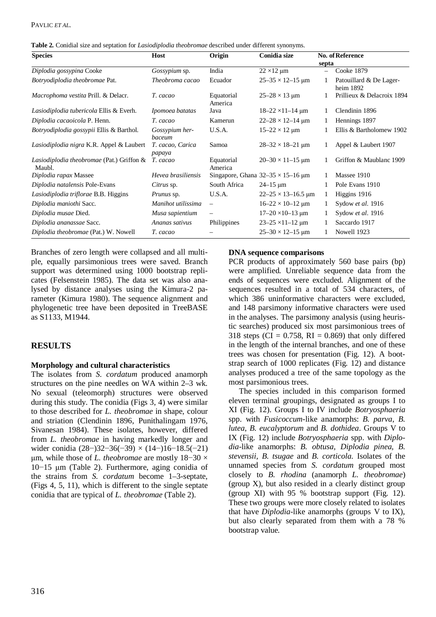| Table 2. Conidial size and septation for <i>Lasiodiplodia theobromae</i> described under different synonyms. |  |  |  |  |  |  |  |  |  |
|--------------------------------------------------------------------------------------------------------------|--|--|--|--|--|--|--|--|--|
|--------------------------------------------------------------------------------------------------------------|--|--|--|--|--|--|--|--|--|

| <b>Species</b>                                      | Host                       | Origin                   | Conidia size                                 | septa    | No. of Reference                     |
|-----------------------------------------------------|----------------------------|--------------------------|----------------------------------------------|----------|--------------------------------------|
| Diplodia gossypina Cooke                            | Gossypium sp.              | India                    | $22 \times 12 \mu m$                         | $\equiv$ | Cooke 1879                           |
| Botryodiplodia theobromae Pat.                      | Theobroma cacao            | Ecuador                  | $25 - 35 \times 12 - 15$ µm                  |          | Patouillard & De Lager-<br>heim 1892 |
| Macrophoma vestita Prill. & Delacr.                 | T. cacao                   | Equatorial<br>America    | $25-28 \times 13$ µm                         |          | Prillieux & Delacroix 1894           |
| Lasiodiplodia tubericola Ellis & Everh.             | Ipomoea batatas            | Java                     | $18 - 22 \times 11 - 14 \text{ µm}$          |          | Clendinin 1896                       |
| Diplodia cacaoicola P. Henn.                        | T. cacao                   | Kamerun                  | $22 - 28 \times 12 - 14 \text{ }\mu\text{m}$ | 1        | Hennings 1897                        |
| Botryodiplodia gossypii Ellis & Barthol.            | Gossypium her-<br>baceum   | U.S.A.                   | $15 - 22 \times 12 \,\mu m$                  |          | Ellis & Bartholomew 1902             |
| Lasiodiplodia nigra K.R. Appel & Laubert            | T. cacao, Carica<br>papaya | Samoa                    | $28 - 32 \times 18 - 21$ µm                  |          | Appel & Laubert 1907                 |
| Lasiodiplodia theobromae (Pat.) Griffon &<br>Maubl. | T. cacao                   | Equatorial<br>America    | $20 - 30 \times 11 - 15$ µm                  |          | Griffon & Maublanc 1909              |
| Diplodia rapax Massee                               | Hevea brasiliensis         |                          | Singapore, Ghana $32-35 \times 15-16$ µm     |          | Massee 1910                          |
| Diplodia natalensis Pole-Evans                      | Citrus sp.                 | South Africa             | $24 - 15 \mu m$                              |          | Pole Evans 1910                      |
| Lasiodiplodia triflorae B.B. Higgins                | <i>Prunus</i> sp.          | U.S.A.                   | $22 - 25 \times 13 - 16.5$ µm                | 1        | Higgins 1916                         |
| Diplodia maniothi Sacc.                             | Manihot utilissima         | $\overline{\phantom{a}}$ | $16-22 \times 10-12$ µm                      | 1        | Sydow et al. 1916                    |
| Diplodia musae Died.                                | Musa sapientium            | $\overline{\phantom{m}}$ | $17 - 20 \times 10 - 13 \text{ µm}$          | 1        | Sydow et al. 1916                    |
| Diplodia ananassae Sacc.                            | Ananas sativus             | Philippines              | $23 - 25 \times 11 - 12 \text{ µm}$          | 1        | Saccardo 1917                        |
| Diplodia theobromae (Pat.) W. Nowell                | T. cacao                   |                          | $25 - 30 \times 12 - 15$ µm                  |          | Nowell 1923                          |

Branches of zero length were collapsed and all multiple, equally parsimonious trees were saved. Branch support was determined using 1000 bootstrap replicates (Felsenstein 1985). The data set was also analysed by distance analyses using the Kimura-2 parameter (Kimura 1980). The sequence alignment and phylogenetic tree have been deposited in TreeBASE as S1133, M1944.

# **RESULTS**

#### **Morphology and cultural characteristics**

The isolates from *S. cordatum* produced anamorph structures on the pine needles on WA within 2–3 wk. No sexual (teleomorph) structures were observed during this study. The conidia (Figs 3, 4) were similar to those described for *L. theobromae* in shape, colour and striation (Clendinin 1896, Punithalingam 1976, Sivanesan 1984). These isolates, however, differed from *L. theobromae* in having markedly longer and wider conidia  $(28–)32–36(-39) \times (14–)16–18.5(-21)$  $\mu$ m, while those of *L. theobromae* are mostly 18–30  $\times$  $10-15$  µm (Table 2). Furthermore, aging conidia of the strains from *S. cordatum* become 1–3-septate, (Figs 4, 5, 11), which is different to the single septate conidia that are typical of *L. theobromae* (Table 2).

#### **DNA sequence comparisons**

PCR products of approximately 560 base pairs (bp) were amplified. Unreliable sequence data from the ends of sequences were excluded. Alignment of the sequences resulted in a total of 534 characters, of which 386 uninformative characters were excluded. and 148 parsimony informative characters were used in the analyses. The parsimony analysis (using heuristic searches) produced six most parsimonious trees of 318 steps (CI =  $0.758$ , RI = 0.869) that only differed in the length of the internal branches, and one of these trees was chosen for presentation (Fig. 12). A bootstrap search of 1000 replicates (Fig. 12) and distance analyses produced a tree of the same topology as the most parsimonious trees.

 The species included in this comparison formed eleven terminal groupings, designated as groups I to XI (Fig. 12). Groups I to IV include *Botryosphaeria* spp. with *Fusicoccum*-like anamorphs: *B. parva*, *B. lutea*, *B. eucalyptorum* and *B. dothidea*. Groups V to IX (Fig. 12) include *Botryosphaeria* spp. with *Diplodia*-like anamorphs: *B. obtusa, Diplodia pinea, B. stevensii, B. tsugae* and *B. corticola.* Isolates of the unnamed species from *S. cordatum* grouped most closely to *B. rhodina* (anamorph *L. theobromae*) (group X), but also resided in a clearly distinct group (group XI) with 95 % bootstrap support (Fig. 12). These two groups were more closely related to isolates that have *Diplodia*-like anamorphs (groups V to IX), but also clearly separated from them with a 78 % bootstrap value.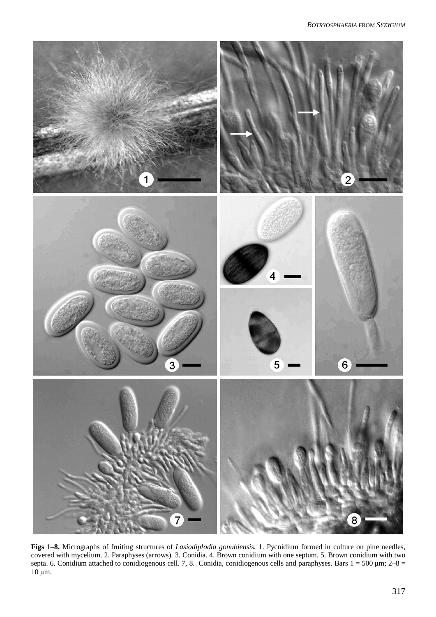

**Figs 1–8.** Micrographs of fruiting structures of *Lasiodiplodia gonubiensis.* 1. Pycnidium formed in culture on pine needles, covered with mycelium. 2. Paraphyses (arrows). 3. Conidia. 4. Brown conidium with one septum. 5. Brown conidium with two septa. 6. Conidium attached to conidiogenous cell. 7, 8. Conidia, conidiogenous cells and paraphyses. Bars  $1 = 500 \,\text{\mu m}$ ;  $2-8 =$  $10 \mu m$ .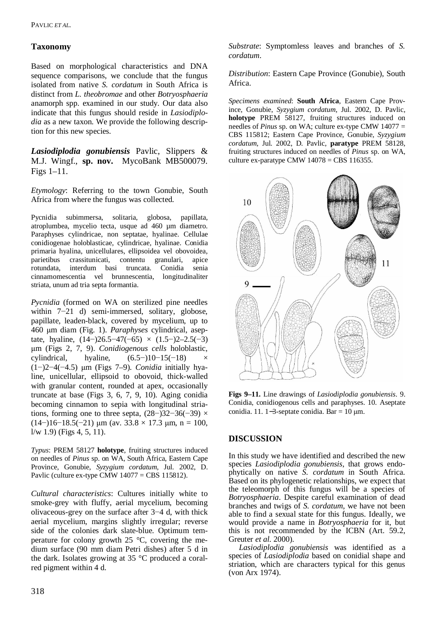# **Taxonomy**

Based on morphological characteristics and DNA sequence comparisons, we conclude that the fungus isolated from native *S. cordatum* in South Africa is distinct from *L. theobromae* and other *Botryosphaeria* anamorph spp. examined in our study. Our data also indicate that this fungus should reside in *Lasiodiplodia* as a new taxon. We provide the following description for this new species.

*Lasiodiplodia gonubiensis* Pavlic, Slippers & M.J. Wingf., **sp. nov.** MycoBank MB500079. Figs 1–11.

*Etymology*: Referring to the town Gonubie, South Africa from where the fungus was collected.

Pycnidia subimmersa, solitaria, globosa, papillata, atroplumbea, mycelio tecta, usque ad 460 µm diametro. Paraphyses cylindricae, non septatae, hyalinae. Cellulae conidiogenae holoblasticae, cylindricae, hyalinae. Conidia primaria hyalina, unicellulares, ellipsoidea vel obovoidea, parietibus crassitunicati, contentu granulari, apice rotundata, interdum basi truncata. Conidia senia cinnamomescentia vel brunnescentia, longitudinaliter striata, unum ad tria septa formantia.

*Pycnidia* (formed on WA on sterilized pine needles within  $7-21$  d) semi-immersed, solitary, globose, papillate, leaden-black, covered by mycelium, up to 460 ȝm diam (Fig. 1). *Paraphyses* cylindrical, aseptate, hyaline,  $(14–)26.5–47(-65) \times (1.5–)2–2.5(-3)$ ȝm (Figs 2, 7, 9). *Conidiogenous cells* holoblastic, cylindrical, hyaline,  $(6.5-110-15(-18))$  $(1–)2–4(-4.5)$  µm (Figs 7–9). *Conidia* initially hyaline, unicellular, ellipsoid to obovoid, thick-walled with granular content, rounded at apex, occasionally truncate at base (Figs 3, 6, 7, 9, 10). Aging conidia becoming cinnamon to sepia with longitudinal striations, forming one to three septa,  $(28–)32–36(-39) \times$  $(14–)16–18.5(-21)$  um (av.  $33.8 \times 17.3$  um, n = 100,  $1/w$  1.9) (Figs 4, 5, 11).

*Typus*: PREM 58127 **holotype**, fruiting structures induced on needles of *Pinus* sp. on WA, South Africa, Eastern Cape Province, Gonubie, *Syzygium cordatum,* Jul. 2002, D. Pavlic (culture ex-type CMW 14077 = CBS 115812).

*Cultural characteristics*: Cultures initially white to smoke-grey with fluffy, aerial mycelium, becoming olivaceous-grey on the surface after  $3-4$  d, with thick aerial mycelium, margins slightly irregular; reverse side of the colonies dark slate-blue. Optimum temperature for colony growth 25 °C, covering the medium surface (90 mm diam Petri dishes) after 5 d in the dark. Isolates growing at 35 °C produced a coralred pigment within 4 d.

*Substrate*: Symptomless leaves and branches of *S. cordatum*.

*Distribution*: Eastern Cape Province (Gonubie), South Africa.

*Specimens examined*: **South Africa**, Eastern Cape Province, Gonubie, *Syzygium cordatum,* Jul. 2002, D. Pavlic, **holotype** PREM 58127, fruiting structures induced on needles of *Pinus* sp. on WA; culture ex-type CMW 14077 = CBS 115812; Eastern Cape Province, Gonubie, *Syzygium cordatum,* Jul. 2002, D. Pavlic, **paratype** PREM 58128, fruiting structures induced on needles of *Pinus* sp. on WA, culture ex-paratype CMW  $14078 = CBS$  116355.



**Figs 9–11.** Line drawings of *Lasiodiplodia gonubiensis*. 9. Conidia, conidiogenous cells and paraphyses. 10. Aseptate conidia. 11. 1–3-septate conidia. Bar =  $10 \mu m$ .

### **DISCUSSION**

In this study we have identified and described the new species *Lasiodiplodia gonubiensis*, that grows endophytically on native *S. cordatum* in South Africa*.* Based on its phylogenetic relationships, we expect that the teleomorph of this fungus will be a species of *Botryosphaeria*. Despite careful examination of dead branches and twigs of *S. cordatum*, we have not been able to find a sexual state for this fungus. Ideally, we would provide a name in *Botryosphaeria* for it, but this is not recommended by the ICBN (Art. 59.2, Greuter *et al*. 2000).

 *Lasiodiplodia gonubiensis* was identified as a species of *Lasiodiplodia* based on conidial shape and striation, which are characters typical for this genus (von Arx 1974).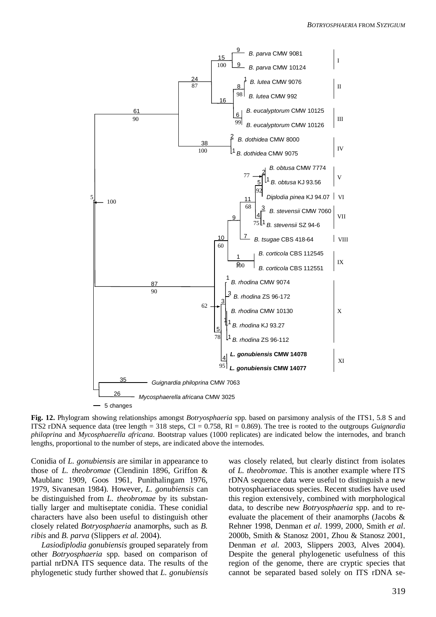

**Fig. 12.** Phylogram showing relationships amongst *Botryosphaeria* spp. based on parsimony analysis of the ITS1, 5.8 S and ITS2 rDNA sequence data (tree length = 318 steps, CI = 0.758, RI = 0.869). The tree is rooted to the outgroups *Guignardia philoprina* and *Mycosphaerella africana*. Bootstrap values (1000 replicates) are indicated below the internodes, and branch lengths, proportional to the number of steps, are indicated above the internodes.

Conidia of *L. gonubiensis* are similar in appearance to those of *L. theobromae* (Clendinin 1896, Griffon & Maublanc 1909, Goos 1961, Punithalingam 1976, 1979, Sivanesan 1984). However, *L. gonubiensis* can be distinguished from *L. theobromae* by its substantially larger and multiseptate conidia. These conidial characters have also been useful to distinguish other closely related *Botryosphaeria* anamorphs, such as *B. ribis* and *B. parva* (Slippers *et al.* 2004).

 *Lasiodiplodia gonubiensis* grouped separately from other *Botryosphaeria* spp. based on comparison of partial nrDNA ITS sequence data. The results of the phylogenetic study further showed that *L. gonubiensis* was closely related, but clearly distinct from isolates of *L. theobromae*. This is another example where ITS rDNA sequence data were useful to distinguish a new botryosphaeriaceous species. Recent studies have used this region extensively, combined with morphological data, to describe new *Botryosphaeria* spp. and to reevaluate the placement of their anamorphs (Jacobs & Rehner 1998, Denman *et al*. 1999, 2000, Smith *et al*. 2000b, Smith & Stanosz 2001, Zhou & Stanosz 2001, Denman *et al.* 2003, Slippers 2003, Alves 2004). Despite the general phylogenetic usefulness of this region of the genome, there are cryptic species that cannot be separated based solely on ITS rDNA se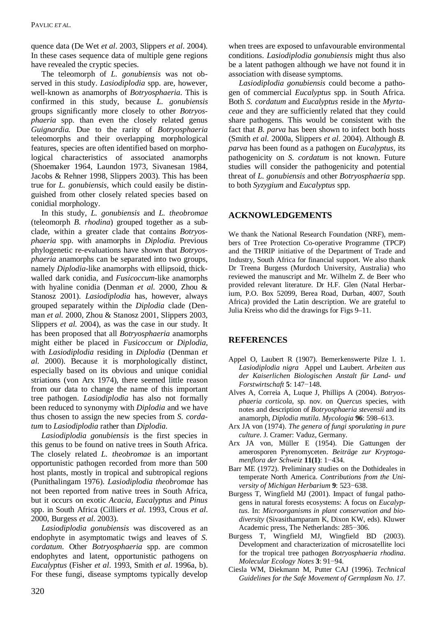quence data (De Wet *et al*. 2003, Slippers *et al*. 2004). In these cases sequence data of multiple gene regions have revealed the cryptic species.

 The teleomorph of *L. gonubiensis* was not observed in this study. *Lasiodiplodia* spp. are, however, well-known as anamorphs of *Botryosphaeria*. This is confirmed in this study, because *L. gonubiensis* groups significantly more closely to other *Botryosphaeria* spp. than even the closely related genus *Guignardia.* Due to the rarity of *Botryosphaeria* teleomorphs and their overlapping morphological features, species are often identified based on morphological characteristics of associated anamorphs (Shoemaker 1964, Laundon 1973, Sivanesan 1984, Jacobs & Rehner 1998, Slippers 2003). This has been true for *L. gonubiensis,* which could easily be distinguished from other closely related species based on conidial morphology.

 In this study, *L. gonubiensis* and *L. theobromae* (teleomorph *B. rhodina*) grouped together as a subclade, within a greater clade that contains *Botryosphaeria* spp. with anamorphs in *Diplodia.* Previous phylogenetic re-evaluations have shown that *Botryosphaeria* anamorphs can be separated into two groups, namely *Diplodia*-like anamorphs with ellipsoid, thickwalled dark conidia, and *Fusicoccum*-like anamorphs with hyaline conidia (Denman *et al.* 2000, Zhou & Stanosz 2001). *Lasiodiplodia* has, however, always grouped separately within the *Diplodia* clade (Denman *et al.* 2000, Zhou & Stanosz 2001, Slippers 2003, Slippers *et al.* 2004), as was the case in our study. It has been proposed that all *Botryosphaeria* anamorphs might either be placed in *Fusicoccum* or *Diplodia*, with *Lasiodiplodia* residing in *Diplodia* (Denman *et al.* 2000). Because it is morphologically distinct, especially based on its obvious and unique conidial striations (von Arx 1974), there seemed little reason from our data to change the name of this important tree pathogen. *Lasiodiplodia* has also not formally been reduced to synonymy with *Diplodia* and we have thus chosen to assign the new species from *S. cordatum* to *Lasiodiplodia* rather than *Diplodia*.

 *Lasiodiplodia gonubiensis* is the first species in this genus to be found on native trees in South Africa. The closely related *L. theobromae* is an important opportunistic pathogen recorded from more than 500 host plants, mostly in tropical and subtropical regions (Punithalingam 1976). *Lasiodiplodia theobromae* has not been reported from native trees in South Africa, but it occurs on exotic *Acacia*, *Eucalyptus* and *Pinus* spp. in South Africa (Cilliers *et al.* 1993, Crous *et al*. 2000, Burgess *et al*. 2003).

 *Lasiodiplodia gonubiensis* was discovered as an endophyte in asymptomatic twigs and leaves of *S. cordatum*. Other *Botryosphaeria* spp. are common endophytes and latent, opportunistic pathogens on *Eucalyptus* (Fisher *et al*. 1993, Smith *et al*. 1996a, b). For these fungi, disease symptoms typically develop

when trees are exposed to unfavourable environmental conditions. *Lasiodiplodia gonubiensis* might thus also be a latent pathogen although we have not found it in association with disease symptoms.

 *Lasiodiplodia gonubiensis* could become a pathogen of commercial *Eucalyptus* spp*.* in South Africa*.* Both *S. cordatum* and *Eucalyptus* reside in the *Myrtaceae* and they are sufficiently related that they could share pathogens. This would be consistent with the fact that *B. parva* has been shown to infect both hosts (Smith *et al.* 2000a, Slippers *et al*. 2004). Although *B. parva* has been found as a pathogen on *Eucalyptus,* its pathogenicity on *S. cordatum* is not known. Future studies will consider the pathogenicity and potential threat of *L. gonubiensis* and other *Botryosphaeria* spp. to both *Syzygium* and *Eucalyptus* spp.

### **ACKNOWLEDGEMENTS**

We thank the National Research Foundation (NRF), members of Tree Protection Co-operative Programme (TPCP) and the THRIP initiative of the Department of Trade and Industry, South Africa for financial support. We also thank Dr Treena Burgess (Murdoch University, Australia) who reviewed the manuscript and Mr. Wilhelm Z. de Beer who provided relevant literature. Dr H.F. Glen (Natal Herbarium, P.O. Box 52099, Berea Road, Durban, 4007, South Africa) provided the Latin description. We are grateful to Julia Kreiss who did the drawings for Figs 9–11.

### **REFERENCES**

- Appel O, Laubert R (1907). Bemerkenswerte Pilze I. 1. *Lasiodiplodia nigra* Appel und Laubert. *Arbeiten aus der Kaiserlichen Biologischen Anstalt für Land- und Forstwirtschaft* 5: 147-148.
- Alves A, Correia A, Luque J, Phillips A (2004). *Botryosphaeria corticola*, sp. nov. on *Quercus* species, with notes and description of *Botryosphaeria stevensii* and its anamorph, *Diplodia mutila*. *Mycologia* **96**: 598–613.
- Arx JA von (1974). *The genera of fungi sporulating in pure culture*. J. Cramer: Vaduz, Germany.
- Arx JA von, Müller E (1954). Die Gattungen der amerosporen Pyrenomyceten. *Beiträge zur Kryptogamenflora der Schweiz* 11(1): 1-434.
- Barr ME (1972). Preliminary studies on the Dothideales in temperate North America. *Contributions from the University of Michigan Herbarium* 9: 523–638.
- Burgess T, Wingfield MJ (2001). Impact of fungal pathogens in natural forests ecosystems: A focus on *Eucalyptus*. In: *Microorganisms in plant conservation and biodiversity* (Sivasithamparam K, Dixon KW, eds). Kluwer Academic press, The Netherlands: 285–306.
- Burgess T, Wingfield MJ, Wingfield BD (2003). Development and characterization of microsatellite loci for the tropical tree pathogen *Botryosphaeria rhodina*. *Molecular Ecology Notes* 3: 91-94.
- Ciesla WM, Diekmann M, Putter CAJ (1996). *Technical Guidelines for the Safe Movement of Germplasm No. 17.*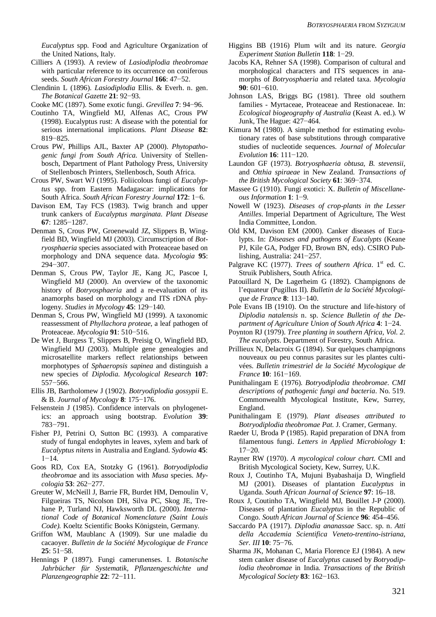*Eucalyptus* spp. Food and Agriculture Organization of the United Nations, Italy.

- Cilliers A (1993). A review of *Lasiodiplodia theobromae* with particular reference to its occurrence on coniferous seeds. *South African Forestry Journal* 166: 47–52.
- Clendinin L (1896). *Lasiodiplodia* Ellis. & Everh. n. gen. *The Botanical Gazette* 21: 92-93.

Cooke MC (1897). Some exotic fungi. *Grevillea* 7: 94–96.

- Coutinho TA, Wingfield MJ, Alfenas AC, Crous PW (1998). Eucalyptus rust: A disease with the potential for serious international implications. *Plant Disease* **82**: 819-825.
- Crous PW, Phillips AJL, Baxter AP (2000). *Phytopathogenic fungi from South Africa*. University of Stellenbosch, Department of Plant Pathology Press, University of Stellenbosch Printers, Stellenbosch, South Africa.
- Crous PW, Swart WJ (1995). Foliicolous fungi of *Eucalyptus* spp. from Eastern Madagascar: implications for South Africa. *South African Forestry Journal* 172: 1-6.
- Davison EM, Tay FCS (1983). Twig branch and upper trunk cankers of *Eucalyptus marginata*. *Plant Disease* **67**: 1285-1287.
- Denman S, Crous PW, Groenewald JZ, Slippers B, Wingfield BD, Wingfield MJ (2003). Circumscription of *Botryosphaeria* species associated with Proteaceae based on morphology and DNA sequence data. *Mycologia* **95**: 294-307.
- Denman S, Crous PW, Taylor JE, Kang JC, Pascoe I, Wingfield MJ (2000). An overview of the taxonomic history of *Botryosphaeria* and a re-evaluation of its anamorphs based on morphology and ITS rDNA phylogeny. *Studies in Mycology* 45: 129–140.
- Denman S, Crous PW, Wingfield MJ (1999). A taxonomic reassessment of *Phyllachora proteae*, a leaf pathogen of Proteaceae. *Mycologia* 91: 510-516.
- De Wet J, Burgess T, Slippers B, Preisig O, Wingfield BD, Wingfield MJ (2003). Multiple gene genealogies and microsatellite markers reflect relationships between morphotypes of *Sphaeropsis sapinea* and distinguish a new species of *Diplodia*. *Mycological Research* **107**:  $557 - 566$ .
- Ellis JB, Bartholomew J (1902). *Botryodiplodia gossypii* E. & B. *Journal of Mycology* 8: 175-176.
- Felsenstein J (1985). Confidence intervals on phylogenetics: an approach using bootstrap. *Evolution* **39**: 783-791.
- Fisher PJ, Petrini O, Sutton BC (1993). A comparative study of fungal endophytes in leaves, xylem and bark of *Eucalyptus nitens* in Australia and England. *Sydowia* **45**:  $1 - 14$
- Goos RD, Cox EA, Stotzky G (1961). *Botryodiplodia theobromae* and its association with *Musa* species. *Mycologia* **53**: 262-277.
- Greuter W, McNeill J, Barrie FR, Burdet HM, Demoulin V, Filgueiras TS, Nicolson DH, Silva PC, Skog JE, Trehane P, Turland NJ, Hawksworth DL (2000). *International Code of Botanical Nomenclature (Saint Louis Code).* Koeltz Scientific Books Königstein, Germany.
- Griffon WM, Maublanc A (1909). Sur une maladie du cacaoyer. *Bulletin de la Société Mycologique de France*  $25:51-58.$
- Hennings P (1897). Fungi camerunenses. I. *Botanische Jahrbücher für Systematik, Pflanzengeschichte und Planzengeographie* 22: 72-111.
- Higgins BB (1916) Plum wilt and its nature. *Georgia Experiment Station Bulletin* 118: 1-29.
- Jacobs KA, Rehner SA (1998). Comparison of cultural and morphological characters and ITS sequences in anamorphs of *Botryosphaeria* and related taxa. *Mycologia* 90: 601-610.
- Johnson LAS, Briggs BG (1981). Three old southern families - Myrtaceae, Proteaceae and Restionaceae. In: *Ecological biogeography of Australia* (Keast A. ed.). W Junk, The Hague:  $427-464$ .
- Kimura M (1980). A simple method for estimating evolutionary rates of base substitutions through comparative studies of nucleotide sequences. *Journal of Molecular Evolution* **16**: 111-120.
- Laundon GF (1973). *Botryosphaeria obtusa*, *B. stevensii*, and *Otthia spiraeae* in New Zealand. *Transactions of the British Mycological Society* 61: 369-374.
- Massee G (1910). Fungi exotici: X. *Bulletin of Miscellane* $ous Information 1: 1-9.$
- Nowell W (1923). *Diseases of crop-plants in the Lesser Antilles*. Imperial Department of Agriculture, The West India Committee, London.
- Old KM, Davison EM (2000). Canker diseases of Eucalypts. In: *Diseases and pathogens of Eucalypts* (Keane PJ, Kile GA, Podger FD, Brown BN, eds). CSIRO Publishing, Australia:  $241-257$ .
- Palgrave KC (1977). *Trees of southern Africa*. 1<sup>st</sup> ed. C. Struik Publishers, South Africa.
- Patouillard N, De Lagerheim G (1892). Champignons de l'equateur (Pugillus II). *Bulletin de la Société Mycologique de France* 8: 113-140.
- Pole Evans IB (1910). On the structure and life-history of *Diplodia natalensis* n. sp. *Science Bulletin of the Department of Agriculture Union of South Africa* 4: 1-24.
- Poynton RJ (1979). *Tree planting in southern Africa, Vol. 2. The eucalypts*. Department of Forestry, South Africa.
- Prillieux N, Delacroix G (1894). Sur quelques champignons nouveaux ou peu connus parasites sur les plantes cultivées. *Bulletin trimestriel de la Société Mycologique de France* **10**: 161–169.
- Punithalingam E (1976). *Botryodiplodia theobromae*. *CMI descriptions of pathogenic fungi and bacteria*. No. 519. Commonwealth Mycological Institute, Kew, Surrey, England.
- Punithalingam E (1979). *Plant diseases attributed to Botryodiplodia theobromae Pat*. J. Cramer, Germany.
- Raeder U, Broda P (1985). Rapid preparation of DNA from filamentous fungi. *Letters in Applied Microbiology* **1**:  $17 - 20$ .
- Rayner RW (1970). *A mycological colour chart*. CMI and British Mycological Society, Kew, Surrey, U.K.
- Roux J, Coutinho TA, Mujuni Byabashaija D, Wingfield MJ (2001). Diseases of plantation *Eucalyptus* in Uganda. *South African Journal of Science* **97**: 16–18.
- Roux J, Coutinho TA, Wingfield MJ, Bouillet J-P (2000). Diseases of plantation *Eucalyptus* in the Republic of Congo. *South African Journal of Science* **96**: 454–456.
- Saccardo PA (1917). *Diplodia ananassae* Sacc. sp. n. *Atti della Accademia Scientifica Veneto-trentino-istriana, Ser. III* **10**: 75-76.
- Sharma JK, Mohanan C, Maria Florence EJ (1984). A new stem canker disease of *Eucalyptus* caused by *Botryodiplodia theobromae* in India. *Transactions of the British Mycological Society* 83: 162-163.